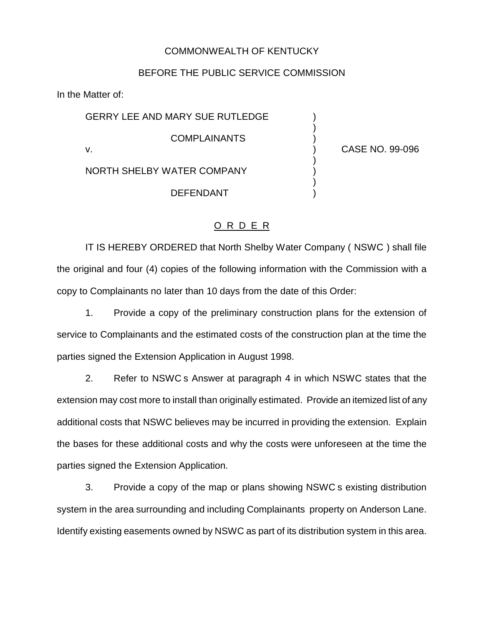## COMMONWEALTH OF KENTUCKY

## BEFORE THE PUBLIC SERVICE COMMISSION

In the Matter of:

GERRY LEE AND MARY SUE RUTLEDGE **COMPLAINANTS** v. ) CASE NO. 99-096

)

)

)

NORTH SHELBY WATER COMPANY ) **DEFENDANT** 

## O R D E R

IT IS HEREBY ORDERED that North Shelby Water Company ( NSWC ) shall file the original and four (4) copies of the following information with the Commission with a copy to Complainants no later than 10 days from the date of this Order:

1. Provide a copy of the preliminary construction plans for the extension of service to Complainants and the estimated costs of the construction plan at the time the parties signed the Extension Application in August 1998.

2. Refer to NSWC s Answer at paragraph 4 in which NSWC states that the extension may cost more to install than originally estimated. Provide an itemized list of any additional costs that NSWC believes may be incurred in providing the extension. Explain the bases for these additional costs and why the costs were unforeseen at the time the parties signed the Extension Application.

3. Provide a copy of the map or plans showing NSWC s existing distribution system in the area surrounding and including Complainants property on Anderson Lane. Identify existing easements owned by NSWC as part of its distribution system in this area.